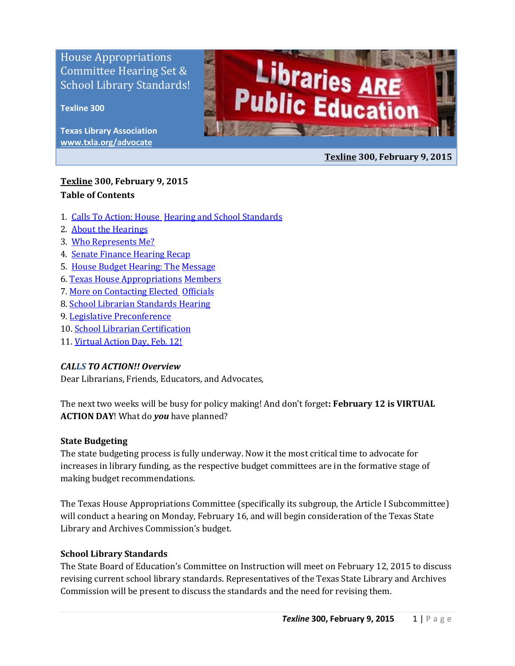House Appropriations Committee Hearing Set & School Library Standards!

### **Texline 300**

**Texas Library Association [www.txla.org/advocate](http://www.txla.org/advocate)**



**[Texline](http://www.txla.org/texline-updates) 300, February 9, 2015**

## **[Texline](http://www.txla.org/texline-updates) 300, February 9, 2015 Table of Contents**

- 1. [Calls To Action: House](#page-0-0) [Hearing and School Standards](#page-0-0)
- 2. [About the Hearings](#page-1-0)
- 3. [Who Represents Me?](#page-1-1)
- 4. [Senate Finance Hearing Recap](#page-1-2)
- 5. [House Budget Hearing: The](#page-3-0) [Message](#page-3-0)
- 6. [Texas House Appropriations](#page-2-0) [Members](#page-2-0)
- 7. [More on Contacting Elected Officials](#page-4-0)
- 8. [School Librarian Standards](#page-4-1) [Hearing](#page-4-1)
- 9. [Legislative Preconference](#page-5-0)
- 10. [School Librarian Certification](#page-6-0)
- <span id="page-0-0"></span>11. [Virtual Action Day, Feb. 12!](#page-6-1)

### *CALLS TO ACTION!! Overview*

Dear Librarians, Friends, Educators, and Advocates,

The next two weeks will be busy for policy making! And don't forget**: February 12 is VIRTUAL ACTION DAY**! What do *you* have planned?

### **State Budgeting**

The state budgeting process is fully underway. Now it the most critical time to advocate for increases in library funding, as the respective budget committees are in the formative stage of making budget recommendations.

The Texas House Appropriations Committee (specifically its subgroup, the Article I Subcommittee) will conduct a hearing on Monday, February 16, and will begin consideration of the Texas State Library and Archives Commission's budget.

## **School Library Standards**

The State Board of Education's Committee on Instruction will meet on February 12, 2015 to discuss revising current school library standards. Representatives of the Texas State Library and Archives Commission will be present to discuss the standards and the need for revising them.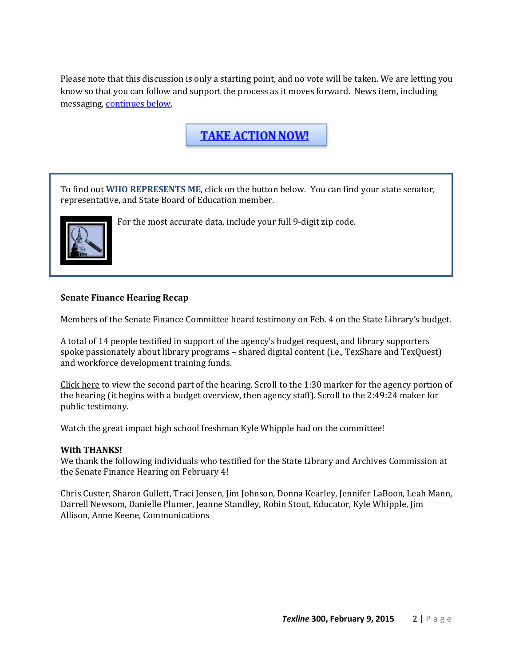Please note that this discussion is only a starting point, and no vote will be taken. We are letting you know so that you can follow and support the process as it moves forward. News item, including messaging, [continues below.](#page-4-1)

**TAKE ACTION NOW!** 

<span id="page-1-1"></span>To find out **WHO REPRESENTS ME**, click on the button below. You can find your state senator, representative, and State Board of Education member.



<span id="page-1-2"></span>For the most accurate data, include your full 9-digit zip code.

### **Senate Finance Hearing Recap**

Members of the Senate Finance Committee heard testimony on Feb. 4 on the State Library's budget.

A total of 14 people testified in support of the agency's budget request, and library supporters spoke passionately about library programs – shared digital content (i.e., TexShare and TexQuest) and workforce development training funds.

[Click here](http://tlcsenate.granicus.com/MediaPlayer.php?view_id=30&clip_id=9043) to view the second part of the hearing. Scroll to the 1:30 marker for the agency portion of the hearing (it begins with a budget overview, then agency staff). Scroll to the 2:49:24 maker for public testimony.

Watch the great impact high school freshman Kyle Whipple had on the committee!

### **With THANKS!**

We thank the following individuals who testified for the State Library and Archives Commission at the Senate Finance Hearing on February 4!

<span id="page-1-0"></span>Chris Custer, Sharon Gullett, Traci Jensen, Jim Johnson, Donna Kearley, Jennifer LaBoon, Leah Mann, Darrell Newsom, Danielle Plumer, Jeanne Standley, Robin Stout, Educator, Kyle Whipple, Jim Allison, Anne Keene, Communications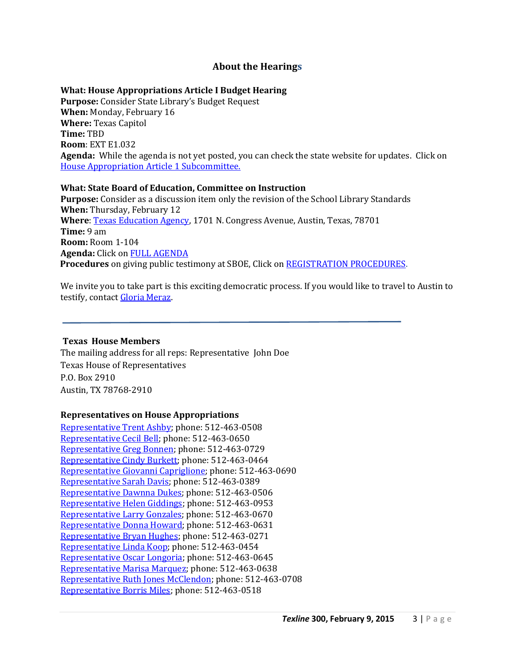## **About the Hearings**

### **What: House Appropriations Article I Budget Hearing**

**Purpose:** Consider State Library's Budget Request **When:** Monday, February 16 **Where:** Texas Capitol **Time:** TBD **Room**: EXT E1.032 **Agenda:** While the agenda is not yet posted, you can check the state website for updates. Click on [House Appropriation Article 1 Subcommittee.](http://www.legis.state.tx.us/Committees/MeetingsByCmte.aspx?Leg=84&Chamber=H&CmteCode=C013)

### **What: State Board of Education, Committee on Instruction**

**Purpose:** Consider as a discussion item only the revision of the School Library Standards **When:** Thursday, February 12 Where: [Texas Education Agency,](http://tea.texas.gov/) 1701 N. Congress Avenue, Austin, Texas, 78701 **Time:** 9 am **Room:** Room 1-104 **Agenda:** Click on [FULL AGENDA](http://tea.texas.gov/About_TEA/Leadership/State_Board_of_Education/2015/February/February_2015_Committee_on_Instruction/)  **Procedures** on giving public testimony at SBOE, Click on [REGISTRATION PROCEDURES.](http://tea.texas.gov/About_TEA/Leadership/State_Board_of_Education/SBOE_Meetings/SBOE_Operating_Rules_Amended_1_30_13/)

We invite you to take part is this exciting democratic process. If you would like to travel to Austin to testify, contact [Gloria Meraz.](mailto:gloriam@txla.org)

### <span id="page-2-0"></span>**Texas House Members**

The mailing address for all reps: Representative John Doe Texas House of Representatives P.O. Box 2910 Austin, TX 78768-2910

### **Representatives on House Appropriations**

[Representative Trent Ashby;](mailto:Trent.Ashby@house.state.tx.us) phone: 512-463-0508 [Representative Cecil Bell;](mailto:Cecil.Bell@house.state.tx.us) phone: 512-463-0650 [Representative Greg Bonnen;](mailto:Greg.Bonnen@house.state.tx.us) phone: 512-463-0729 [Representative Cindy Burkett;](mailto:Cindy.Burkett@house.state.tx.us) phone: 512-463-0464 [Representative Giovanni Capriglione;](mailto:Giovanni.Capriglione@house.state.tx.us) phone: 512-463-0690 [Representative Sarah Davis;](mailto:Sarah.Davis@house.state.tx.us) phone: 512-463-0389 [Representative Dawnna Dukes;](mailto:Dawnna.Dukes@house.state.tx.us) phone: 512-463-0506 [Representative Helen Giddings;](mailto:Helen.Giddings@house.state.tx.us) phone: 512-463-0953 [Representative Larry Gonzales;](mailto:Larry.Gonzales@house.state.tx.us) phone: 512-463-0670 [Representative Donna Howard;](mailto:Donna.Howard@house.state.tx.us) phone: 512-463-0631 [Representative Bryan Hughes;](mailto:Bryan.Hughes@house.state.tx.us) phone: 512-463-0271 [Representative Linda Koop;](mailto:Linda.Koop@house.state.tx.us) phone: 512-463-0454 [Representative Oscar Longoria;](mailto:Oscar.Longoria@house.state.tx.us) phone: 512-463-0645 [Representative Marisa Marquez;](mailto:Marisa.Marquez@house.state.tx.us) phone: 512-463-0638 [Representative Ruth Jones McClendon;](mailto:RuthJones.McClendon@house.state.tx.us) phone: 512-463-0708 [Representative Borris Miles;](mailto:Borris.Miles@house.state.tx.us) phone: 512-463-0518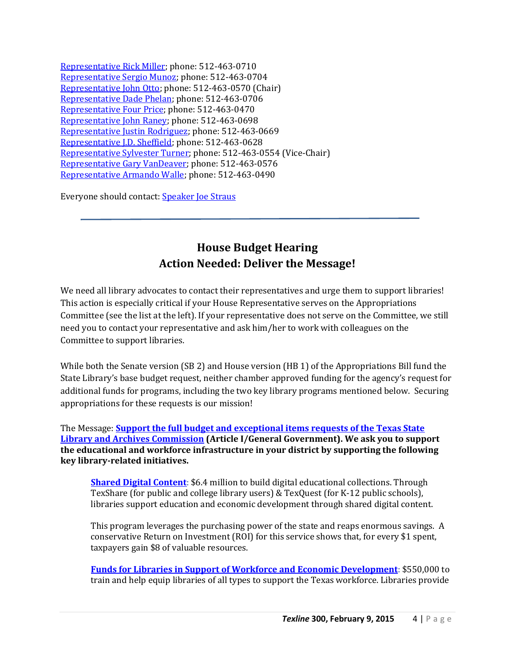[Representative Rick Miller;](mailto:Rick.Miller@house.state.tx.us) phone: 512-463-0710 [Representative Sergio Munoz;](mailto:Sergio.Munoz@house.state.tx.us) phone: 512-463-0704 [Representative John Otto;](mailto:John.Otto@house.state.tx.us) phone: 512-463-0570 (Chair) [Representative Dade Phelan;](mailto:Dade.Phelan@house.state.tx.us) phone: 512-463-0706 [Representative Four Price;](mailto:Four.Price@house.state.tx.us) phone: 512-463-0470 [Representative John Raney;](mailto:John.Raney@house.state.tx.us) phone: 512-463-0698 [Representative Justin Rodriguez;](mailto:Justin.Rodriguez@house.state.tx.us) phone: 512-463-0669 [Representative J.D. Sheffield;](mailto:J.D.Sheffield@house.state.tx.us) phone: 512-463-0628 [Representative Sylvester Turner;](mailto:Sylvester.Turner@house.state.tx.us) phone: 512-463-0554 (Vice-Chair) [Representative Gary VanDeaver;](mailto:Gary.VanDeaver@house.state.tx.us) phone: 512-463-0576 [Representative Armando Walle;](mailto:Armando.Walle@house.state.tx.us) phone: 512-463-0490

Everyone should contact: [Speaker Joe Straus](mailto:Joe.Straus@house.state.tx.us)

## <span id="page-3-0"></span>**House Budget Hearing Action Needed: Deliver the Message!**

We need all library advocates to contact their representatives and urge them to support libraries! This action is especially critical if your House Representative serves on the Appropriations Committee (see the list at the left). If your representative does not serve on the Committee, we still need you to contact your representative and ask him/her to work with colleagues on the Committee to support libraries.

While both the Senate version (SB 2) and House version (HB 1) of the Appropriations Bill fund the State Library's base budget request, neither chamber approved funding for the agency's request for additional funds for programs, including the two key library programs mentioned below. Securing appropriations for these requests is our mission!

The Message: **[Support the full budget and exceptional items requests of the Texas State](http://www.txla.org/sites/tla/files/Advocate/84th_Library_Budget_Issues.pdf)  [Library and Archives Commission](http://www.txla.org/sites/tla/files/Advocate/84th_Library_Budget_Issues.pdf) (Article I/General Government). We ask you to support the educational and workforce infrastructure in your district by supporting the following key library-related initiatives.**

**[Shared Digital Content](http://www.txla.org/sites/tla/files/Advocate/shareddigitalcontent%20flyer.pdf)**: \$6.4 million to build digital educational collections. Through TexShare (for public and college library users) & TexQuest (for K-12 public schools), libraries support education and economic development through shared digital content.

This program leverages the purchasing power of the state and reaps enormous savings. A conservative Return on Investment (ROI) for this service shows that, for every \$1 spent, taxpayers gain \$8 of valuable resources.

**[Funds for Libraries in Support of Workforce and Economic Development](http://www.txla.org/sites/tla/files/Advocate/workforce%20flyer.pdf)**: \$550,000 to train and help equip libraries of all types to support the Texas workforce. Libraries provide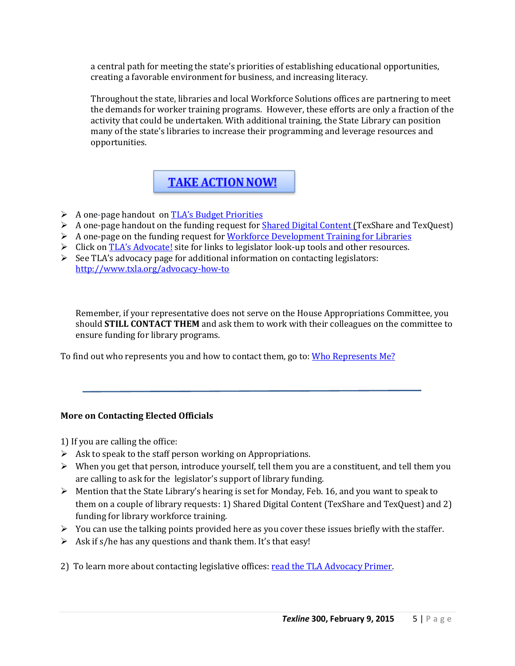a central path for meeting the state's priorities of establishing educational opportunities, creating a favorable environment for business, and increasing literacy.

Throughout the state, libraries and local Workforce Solutions offices are partnering to meet the demands for worker training programs. However, these efforts are only a fraction of the activity that could be undertaken. With additional training, the State Library can position many of the state's libraries to increase their programming and leverage resources and opportunities.

## **TAKE ACTION NOW!**

- A one-page handout on [TLA's Budget Priorities](http://www.txla.org/sites/tla/files/Advocate/84th_Library_Budget_Issues.pdf)
- $\triangleright$  A one-page handout on the funding request for [Shared Digital Content \(T](http://www.txla.org/sites/tla/files/Advocate/shareddigitalcontent%20flyer.pdf)exShare and TexQuest)
- $\triangleright$  A one-page on the funding request for [Workforce Development Training for Libraries](http://www.txla.org/sites/tla/files/Advocate/workforce%20flyer.pdf)
- $\triangleright$  Click on [TLA's Advocate!](http://www.txla.org/take-action) site for links to legislator look-up tools and other resources.
- $\triangleright$  See TLA's advocacy page for additional information on contacting legislators: <http://www.txla.org/advocacy-how-to>

Remember, if your representative does not serve on the House Appropriations Committee, you should **STILL CONTACT THEM** and ask them to work with their colleagues on the committee to ensure funding for library programs.

<span id="page-4-0"></span>To find out who represents you and how to contact them, go to: [Who Represents](#page-1-1) Me?

## **More on Contacting Elected Officials**

1) If you are calling the office:

- $\triangleright$  Ask to speak to the staff person working on Appropriations.
- $\triangleright$  When you get that person, introduce yourself, tell them you are a constituent, and tell them you are calling to ask for the legislator's support of library funding.
- $\triangleright$  Mention that the State Library's hearing is set for Monday, Feb. 16, and you want to speak to them on a couple of library requests: 1) Shared Digital Content (TexShare and TexQuest) and 2) funding for library workforce training.
- $\triangleright$  You can use the talking points provided here as you cover these issues briefly with the staffer.
- $\triangleright$  Ask if s/he has any questions and thank them. It's that easy!
- <span id="page-4-1"></span>2) To learn more about contacting legislative offices: [read the TLA Advocacy Primer.](http://www.txla.org/advocacy-how-to)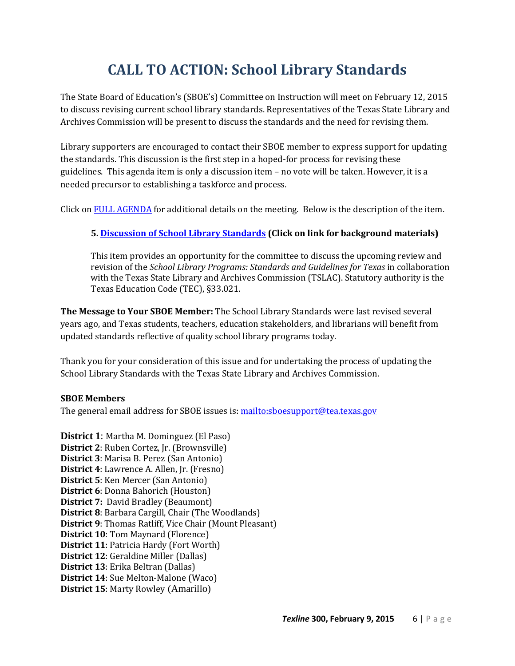# **CALL TO ACTION: School Library Standards**

The State Board of Education's (SBOE's) Committee on Instruction will meet on February 12, 2015 to discuss revising current school library standards. Representatives of the Texas State Library and Archives Commission will be present to discuss the standards and the need for revising them.

Library supporters are encouraged to contact their SBOE member to express support for updating the standards. This discussion is the first step in a hoped-for process for revising these guidelines. This agenda item is only a discussion item – no vote will be taken. However, it is a needed precursor to establishing a taskforce and process.

Click o[n FULL AGENDA](http://tea.texas.gov/About_TEA/Leadership/State_Board_of_Education/2015/February/February_2015_Committee_on_Instruction/) for additional details on the meeting. Below is the description of the item.

## **5[. Discussion of School Library Standards](http://tea.texas.gov/WorkArea/linkit.aspx?LinkIdentifier=id&ItemID=25769819778) (Click on link for background materials)**

This item provides an opportunity for the committee to discuss the upcoming review and revision of the *School Library Programs: Standards and Guidelines for Texas* in collaboration with the Texas State Library and Archives Commission (TSLAC). Statutory authority is the Texas Education Code (TEC), §33.021.

**The Message to Your SBOE Member:** The School Library Standards were last revised several years ago, and Texas students, teachers, education stakeholders, and librarians will benefit from updated standards reflective of quality school library programs today.

Thank you for your consideration of this issue and for undertaking the process of updating the School Library Standards with the Texas State Library and Archives Commission.

### **SBOE Members**

The general email address for SBOE issues is:<mailto:sboesupport@tea.texas.gov>

<span id="page-5-0"></span>**District 1**: [Martha M. Dominguez](mailto:sboesupport@tea.texas.gov) (El Paso) **District 2**: [Ruben Cortez, Jr.](mailto:sboesupport@tea.texas.gov) (Brownsville) **District 3**: Marisa B. Perez (San Antonio) **District 4**: Lawrence A. Allen, Jr. (Fresno) **District 5**: Ken Mercer (San Antonio) **District 6**: Donna Bahorich (Houston) **District 7:** David Bradley (Beaumont) **District 8**: Barbara Cargill, Chair (The Woodlands) **District 9**: Thomas Ratliff, Vice Chair (Mount Pleasant) **District 10**: Tom Maynard (Florence) **District 11**: Patricia Hardy (Fort Worth) **District 12**: Geraldine Miller (Dallas) **District 13**: Erika Beltran (Dallas) **District 14**: Sue Melton-Malone (Waco) **District 15**: Marty Rowley (Amarillo)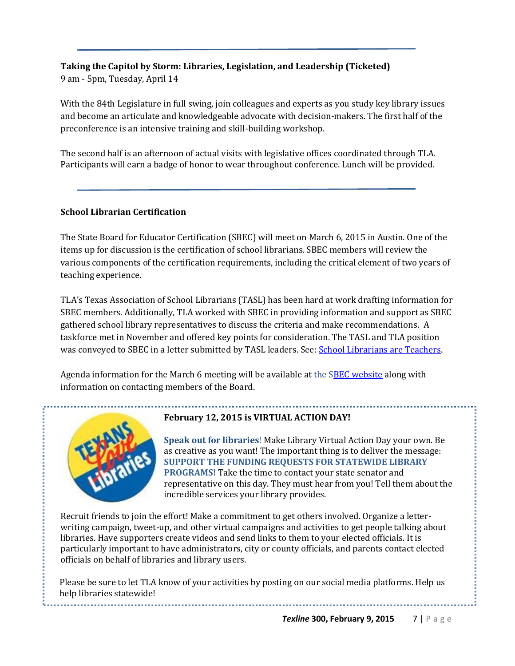## **Taking the Capitol by Storm: Libraries, Legislation, and Leadership (Ticketed)** 9 am - 5pm, Tuesday, April 14

With the 84th Legislature in full swing, join colleagues and experts as you study key library issues and become an articulate and knowledgeable advocate with decision-makers. The first half of the preconference is an intensive training and skill-building workshop.

The second half is an afternoon of actual visits with legislative offices coordinated through TLA. Participants will earn a badge of honor to wear throughout conference. Lunch will be provided.

## <span id="page-6-0"></span>**School Librarian Certification**

The State Board for Educator Certification (SBEC) will meet on March 6, 2015 in Austin. One of the items up for discussion is the certification of school librarians. SBEC members will review the various components of the certification requirements, including the critical element of two years of teaching experience.

TLA's Texas Association of School Librarians (TASL) has been hard at work drafting information for SBEC members. Additionally, TLA worked with SBEC in providing information and support as SBEC gathered school library representatives to discuss the criteria and make recommendations. A taskforce met in November and offered key points for consideration. The TASL and TLA position was conveyed to SBEC in a letter submitted by TASL leaders. See: [School Librarians are Teachers.](http://www.txla.org/sites/tla/files/Advocate/TASL%20SBECletter%201-8-15.pdf)

Agenda information for the March 6 meeting will be available at the [SBEC website](http://tea.texas.gov/About_TEA/Leadership/State_Board_for_Educator_Certification/SBEC_Meetings/State_Board_for_Educator_Certification_Meetings/) along with information on contacting members of the Board.



--------------------------------

## <span id="page-6-1"></span>**February 12, 2015 is VIRTUAL ACTION DAY!**

**Speak out for libraries**! Make Library Virtual Action Day your own. Be as creative as you want! The important thing is to deliver the message: **SUPPORT THE FUNDING REQUESTS FOR STATEWIDE LIBRARY PROGRAMS!** Take the time to contact your state senator and representative on this day. They must hear from you! Tell them about the incredible services your library provides.

Recruit friends to join the effort! Make a commitment to get others involved. Organize a letterwriting campaign, tweet-up, and other virtual campaigns and activities to get people talking about libraries. Have supporters create videos and send links to them to your elected officials. It is particularly important to have administrators, city or county officials, and parents contact elected officials on behalf of libraries and library users.

Please be sure to let TLA know of your activities by posting on our social media platforms. Help us help libraries statewide!